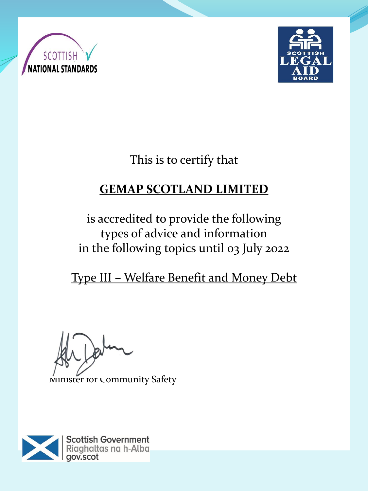



This is to certify that

# **GEMAP SCOTLAND LIMITED**

is accredited to provide the following types of advice and information in the following topics until 03 July 2022

Type III – Welfare Benefit and Money Debt

 $\overline{P}$ 

Minister for Community Safety

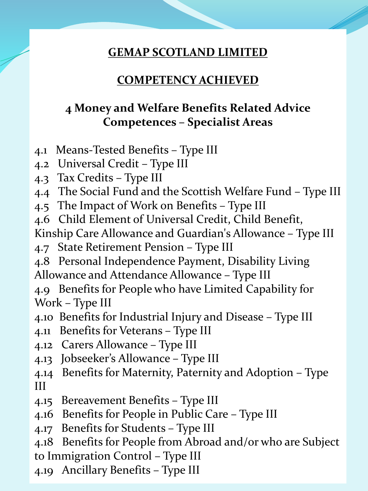### **GEMAP SCOTLAND LIMITED**

### **COMPETENCY ACHIEVED**

### **4 Money and Welfare Benefits Related Advice Competences – Specialist Areas**

- 4.1 Means-Tested Benefits Type III
- 4.2 Universal Credit Type III
- 4.3 Tax Credits Type III
- 4.4 The Social Fund and the Scottish Welfare Fund Type III
- 4.5 The Impact of Work on Benefits Type III
- 4.6 Child Element of Universal Credit, Child Benefit,
- Kinship Care Allowance and Guardian's Allowance Type III
- 4.7 State Retirement Pension Type III
- 4.8 Personal Independence Payment, Disability Living Allowance and Attendance Allowance – Type III
- 4.9 Benefits for People who have Limited Capability for Work – Type III
- 4.10 Benefits for Industrial Injury and Disease Type III
- 4.11 Benefits for Veterans Type III
- 4.12 Carers Allowance Type III
- 4.13 Jobseeker's Allowance Type III
- 4.14 Benefits for Maternity, Paternity and Adoption Type III
- 4.15 Bereavement Benefits Type III
- 4.16 Benefits for People in Public Care Type III
- 4.17 Benefits for Students Type III
- 4.18 Benefits for People from Abroad and/or who are Subject
- to Immigration Control Type III
- 4.19 Ancillary Benefits Type III